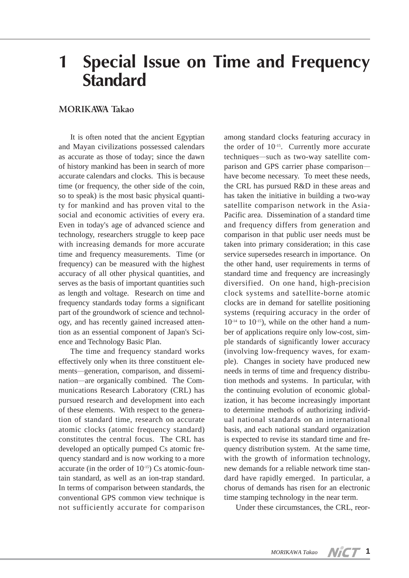## **1 Special Issue on Time and Frequency Standard**

## **MORIKAWA Takao**

It is often noted that the ancient Egyptian and Mayan civilizations possessed calendars as accurate as those of today; since the dawn of history mankind has been in search of more accurate calendars and clocks. This is because time (or frequency, the other side of the coin, so to speak) is the most basic physical quantity for mankind and has proven vital to the social and economic activities of every era. Even in today's age of advanced science and technology, researchers struggle to keep pace with increasing demands for more accurate time and frequency measurements. Time (or frequency) can be measured with the highest accuracy of all other physical quantities, and serves as the basis of important quantities such as length and voltage. Research on time and frequency standards today forms a significant part of the groundwork of science and technology, and has recently gained increased attention as an essential component of Japan's Science and Technology Basic Plan.

The time and frequency standard works effectively only when its three constituent elements―generation, comparison, and dissemination―are organically combined. The Communications Research Laboratory (CRL) has pursued research and development into each of these elements. With respect to the generation of standard time, research on accurate atomic clocks (atomic frequency standard) constitutes the central focus. The CRL has developed an optically pumped Cs atomic frequency standard and is now working to a more accurate (in the order of  $10^{-15}$ ) Cs atomic-fountain standard, as well as an ion-trap standard. In terms of comparison between standards, the conventional GPS common view technique is not sufficiently accurate for comparison

among standard clocks featuring accuracy in the order of 10<sup>-15</sup>. Currently more accurate techniques―such as two-way satellite comparison and GPS carrier phase comparison― have become necessary. To meet these needs, the CRL has pursued R&D in these areas and has taken the initiative in building a two-way satellite comparison network in the Asia-Pacific area. Dissemination of a standard time and frequency differs from generation and comparison in that public user needs must be taken into primary consideration; in this case service supersedes research in importance. On the other hand, user requirements in terms of standard time and frequency are increasingly diversified. On one hand, high-precision clock systems and satellite-borne atomic clocks are in demand for satellite positioning systems (requiring accuracy in the order of  $10<sup>-14</sup>$  to  $10<sup>-15</sup>$ ), while on the other hand a number of applications require only low-cost, simple standards of significantly lower accuracy (involving low-frequency waves, for example). Changes in society have produced new needs in terms of time and frequency distribution methods and systems. In particular, with the continuing evolution of economic globalization, it has become increasingly important to determine methods of authorizing individual national standards on an international basis, and each national standard organization is expected to revise its standard time and frequency distribution system. At the same time, with the growth of information technology, new demands for a reliable network time standard have rapidly emerged. In particular, a chorus of demands has risen for an electronic time stamping technology in the near term.

Under these circumstances, the CRL, reor-